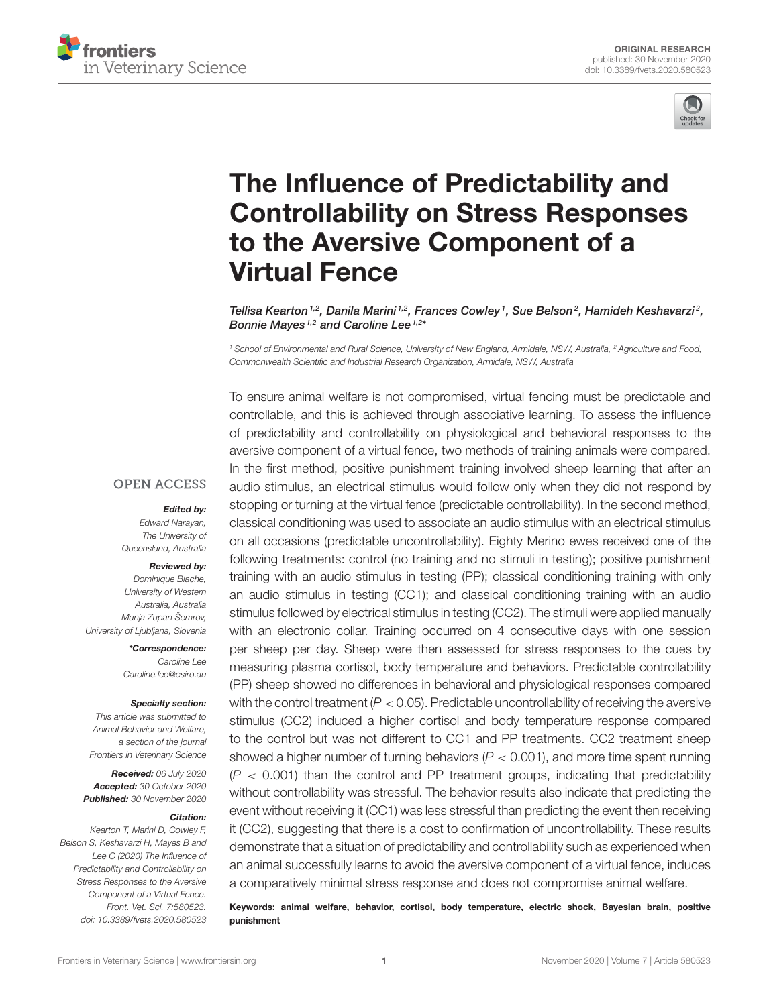



# The Influence of Predictability and [Controllability on Stress Responses](https://www.frontiersin.org/articles/10.3389/fvets.2020.580523/full) to the Aversive Component of a Virtual Fence

Tellisa Kearton $^{1,2}$ , Danila Marini $^{1,2}$ , Frances Cowley $^1$ , Sue Belson $^2$ , Hamideh Keshavarzi $^2$ , Bonnie Mayes <sup>1,2</sup> and Caroline Lee <sup>1,2\*</sup>

<sup>1</sup> School of Environmental and Rural Science, University of New England, Armidale, NSW, Australia, <sup>2</sup> Agriculture and Food, Commonwealth Scientific and Industrial Research Organization, Armidale, NSW, Australia

**OPEN ACCESS** 

#### Edited by:

Edward Narayan, The University of Queensland, Australia

#### Reviewed by:

Dominique Blache, University of Western Australia, Australia Manja Zupan Šemrov, University of Ljubljana, Slovenia

> \*Correspondence: Caroline Lee [Caroline.lee@csiro.au](mailto:Caroline.lee@csiro.au)

#### Specialty section:

This article was submitted to Animal Behavior and Welfare, a section of the journal Frontiers in Veterinary Science

Received: 06 July 2020 Accepted: 30 October 2020 Published: 30 November 2020

#### Citation:

Kearton T, Marini D, Cowley F, Belson S, Keshavarzi H, Mayes B and Lee C (2020) The Influence of Predictability and Controllability on Stress Responses to the Aversive Component of a Virtual Fence. Front. Vet. Sci. 7:580523. doi: [10.3389/fvets.2020.580523](https://doi.org/10.3389/fvets.2020.580523) To ensure animal welfare is not compromised, virtual fencing must be predictable and controllable, and this is achieved through associative learning. To assess the influence of predictability and controllability on physiological and behavioral responses to the aversive component of a virtual fence, two methods of training animals were compared. In the first method, positive punishment training involved sheep learning that after an audio stimulus, an electrical stimulus would follow only when they did not respond by stopping or turning at the virtual fence (predictable controllability). In the second method, classical conditioning was used to associate an audio stimulus with an electrical stimulus on all occasions (predictable uncontrollability). Eighty Merino ewes received one of the following treatments: control (no training and no stimuli in testing); positive punishment training with an audio stimulus in testing (PP); classical conditioning training with only an audio stimulus in testing (CC1); and classical conditioning training with an audio stimulus followed by electrical stimulus in testing (CC2). The stimuli were applied manually with an electronic collar. Training occurred on 4 consecutive days with one session per sheep per day. Sheep were then assessed for stress responses to the cues by measuring plasma cortisol, body temperature and behaviors. Predictable controllability (PP) sheep showed no differences in behavioral and physiological responses compared with the control treatment  $(P < 0.05)$ . Predictable uncontrollability of receiving the aversive stimulus (CC2) induced a higher cortisol and body temperature response compared to the control but was not different to CC1 and PP treatments. CC2 treatment sheep showed a higher number of turning behaviors  $(P < 0.001)$ , and more time spent running  $(P < 0.001)$  than the control and PP treatment groups, indicating that predictability without controllability was stressful. The behavior results also indicate that predicting the event without receiving it (CC1) was less stressful than predicting the event then receiving it (CC2), suggesting that there is a cost to confirmation of uncontrollability. These results demonstrate that a situation of predictability and controllability such as experienced when an animal successfully learns to avoid the aversive component of a virtual fence, induces a comparatively minimal stress response and does not compromise animal welfare.

Keywords: animal welfare, behavior, cortisol, body temperature, electric shock, Bayesian brain, positive punishment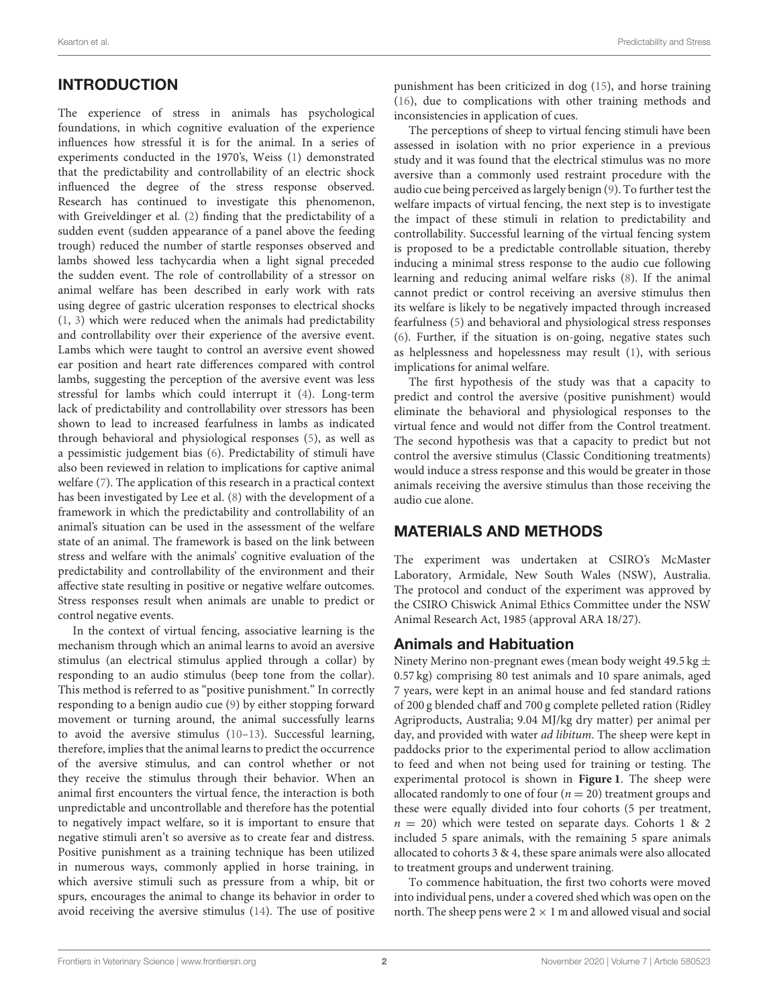## INTRODUCTION

The experience of stress in animals has psychological foundations, in which cognitive evaluation of the experience influences how stressful it is for the animal. In a series of experiments conducted in the 1970's, Weiss [\(1\)](#page-9-0) demonstrated that the predictability and controllability of an electric shock influenced the degree of the stress response observed. Research has continued to investigate this phenomenon, with Greiveldinger et al. [\(2\)](#page-9-1) finding that the predictability of a sudden event (sudden appearance of a panel above the feeding trough) reduced the number of startle responses observed and lambs showed less tachycardia when a light signal preceded the sudden event. The role of controllability of a stressor on animal welfare has been described in early work with rats using degree of gastric ulceration responses to electrical shocks [\(1,](#page-9-0) [3\)](#page-9-2) which were reduced when the animals had predictability and controllability over their experience of the aversive event. Lambs which were taught to control an aversive event showed ear position and heart rate differences compared with control lambs, suggesting the perception of the aversive event was less stressful for lambs which could interrupt it [\(4\)](#page-9-3). Long-term lack of predictability and controllability over stressors has been shown to lead to increased fearfulness in lambs as indicated through behavioral and physiological responses [\(5\)](#page-9-4), as well as a pessimistic judgement bias [\(6\)](#page-9-5). Predictability of stimuli have also been reviewed in relation to implications for captive animal welfare [\(7\)](#page-9-6). The application of this research in a practical context has been investigated by Lee et al. [\(8\)](#page-9-7) with the development of a framework in which the predictability and controllability of an animal's situation can be used in the assessment of the welfare state of an animal. The framework is based on the link between stress and welfare with the animals' cognitive evaluation of the predictability and controllability of the environment and their affective state resulting in positive or negative welfare outcomes. Stress responses result when animals are unable to predict or control negative events.

In the context of virtual fencing, associative learning is the mechanism through which an animal learns to avoid an aversive stimulus (an electrical stimulus applied through a collar) by responding to an audio stimulus (beep tone from the collar). This method is referred to as "positive punishment." In correctly responding to a benign audio cue [\(9\)](#page-9-8) by either stopping forward movement or turning around, the animal successfully learns to avoid the aversive stimulus [\(10–](#page-9-9)[13\)](#page-9-10). Successful learning, therefore, implies that the animal learns to predict the occurrence of the aversive stimulus, and can control whether or not they receive the stimulus through their behavior. When an animal first encounters the virtual fence, the interaction is both unpredictable and uncontrollable and therefore has the potential to negatively impact welfare, so it is important to ensure that negative stimuli aren't so aversive as to create fear and distress. Positive punishment as a training technique has been utilized in numerous ways, commonly applied in horse training, in which aversive stimuli such as pressure from a whip, bit or spurs, encourages the animal to change its behavior in order to avoid receiving the aversive stimulus [\(14\)](#page-9-11). The use of positive punishment has been criticized in dog [\(15\)](#page-9-12), and horse training [\(16\)](#page-9-13), due to complications with other training methods and inconsistencies in application of cues.

The perceptions of sheep to virtual fencing stimuli have been assessed in isolation with no prior experience in a previous study and it was found that the electrical stimulus was no more aversive than a commonly used restraint procedure with the audio cue being perceived as largely benign [\(9\)](#page-9-8). To further test the welfare impacts of virtual fencing, the next step is to investigate the impact of these stimuli in relation to predictability and controllability. Successful learning of the virtual fencing system is proposed to be a predictable controllable situation, thereby inducing a minimal stress response to the audio cue following learning and reducing animal welfare risks [\(8\)](#page-9-7). If the animal cannot predict or control receiving an aversive stimulus then its welfare is likely to be negatively impacted through increased fearfulness [\(5\)](#page-9-4) and behavioral and physiological stress responses [\(6\)](#page-9-5). Further, if the situation is on-going, negative states such as helplessness and hopelessness may result [\(1\)](#page-9-0), with serious implications for animal welfare.

The first hypothesis of the study was that a capacity to predict and control the aversive (positive punishment) would eliminate the behavioral and physiological responses to the virtual fence and would not differ from the Control treatment. The second hypothesis was that a capacity to predict but not control the aversive stimulus (Classic Conditioning treatments) would induce a stress response and this would be greater in those animals receiving the aversive stimulus than those receiving the audio cue alone.

## MATERIALS AND METHODS

The experiment was undertaken at CSIRO's McMaster Laboratory, Armidale, New South Wales (NSW), Australia. The protocol and conduct of the experiment was approved by the CSIRO Chiswick Animal Ethics Committee under the NSW Animal Research Act, 1985 (approval ARA 18/27).

#### Animals and Habituation

Ninety Merino non-pregnant ewes (mean body weight  $49.5 \text{ kg} \pm$ 0.57 kg) comprising 80 test animals and 10 spare animals, aged 7 years, were kept in an animal house and fed standard rations of 200 g blended chaff and 700 g complete pelleted ration (Ridley Agriproducts, Australia; 9.04 MJ/kg dry matter) per animal per day, and provided with water ad libitum. The sheep were kept in paddocks prior to the experimental period to allow acclimation to feed and when not being used for training or testing. The experimental protocol is shown in **[Figure 1](#page-2-0)**. The sheep were allocated randomly to one of four  $(n = 20)$  treatment groups and these were equally divided into four cohorts (5 per treatment,  $n = 20$ ) which were tested on separate days. Cohorts 1 & 2 included 5 spare animals, with the remaining 5 spare animals allocated to cohorts 3 & 4, these spare animals were also allocated to treatment groups and underwent training.

To commence habituation, the first two cohorts were moved into individual pens, under a covered shed which was open on the north. The sheep pens were  $2 \times 1$  m and allowed visual and social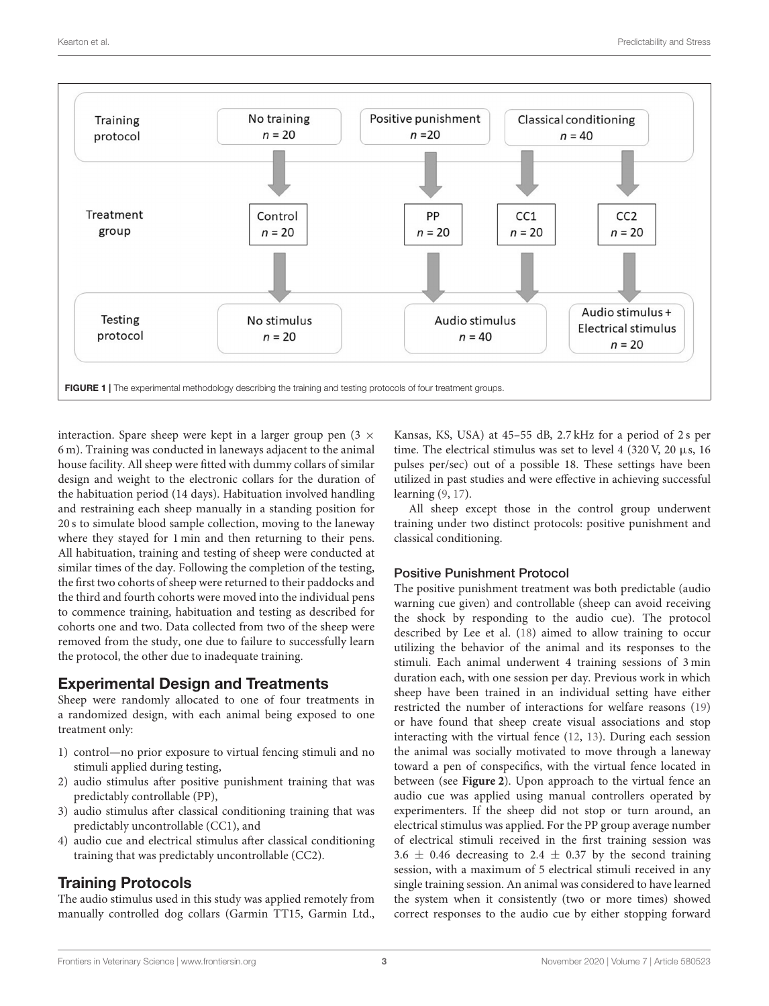

<span id="page-2-0"></span>interaction. Spare sheep were kept in a larger group pen  $(3 \times$ 6 m). Training was conducted in laneways adjacent to the animal house facility. All sheep were fitted with dummy collars of similar design and weight to the electronic collars for the duration of the habituation period (14 days). Habituation involved handling and restraining each sheep manually in a standing position for 20 s to simulate blood sample collection, moving to the laneway where they stayed for 1 min and then returning to their pens. All habituation, training and testing of sheep were conducted at similar times of the day. Following the completion of the testing, the first two cohorts of sheep were returned to their paddocks and the third and fourth cohorts were moved into the individual pens to commence training, habituation and testing as described for cohorts one and two. Data collected from two of the sheep were removed from the study, one due to failure to successfully learn the protocol, the other due to inadequate training.

## Experimental Design and Treatments

Sheep were randomly allocated to one of four treatments in a randomized design, with each animal being exposed to one treatment only:

- 1) control—no prior exposure to virtual fencing stimuli and no stimuli applied during testing,
- 2) audio stimulus after positive punishment training that was predictably controllable (PP),
- 3) audio stimulus after classical conditioning training that was predictably uncontrollable (CC1), and
- 4) audio cue and electrical stimulus after classical conditioning training that was predictably uncontrollable (CC2).

# Training Protocols

The audio stimulus used in this study was applied remotely from manually controlled dog collars (Garmin TT15, Garmin Ltd.,

Kansas, KS, USA) at 45–55 dB, 2.7 kHz for a period of 2 s per time. The electrical stimulus was set to level 4 (320 V, 20  $\mu$ s, 16 pulses per/sec) out of a possible 18. These settings have been utilized in past studies and were effective in achieving successful learning [\(9,](#page-9-8) [17\)](#page-9-14).

All sheep except those in the control group underwent training under two distinct protocols: positive punishment and classical conditioning.

## Positive Punishment Protocol

The positive punishment treatment was both predictable (audio warning cue given) and controllable (sheep can avoid receiving the shock by responding to the audio cue). The protocol described by Lee et al. [\(18\)](#page-9-15) aimed to allow training to occur utilizing the behavior of the animal and its responses to the stimuli. Each animal underwent 4 training sessions of 3 min duration each, with one session per day. Previous work in which sheep have been trained in an individual setting have either restricted the number of interactions for welfare reasons [\(19\)](#page-9-16) or have found that sheep create visual associations and stop interacting with the virtual fence [\(12,](#page-9-17) [13\)](#page-9-10). During each session the animal was socially motivated to move through a laneway toward a pen of conspecifics, with the virtual fence located in between (see **[Figure 2](#page-3-0)**). Upon approach to the virtual fence an audio cue was applied using manual controllers operated by experimenters. If the sheep did not stop or turn around, an electrical stimulus was applied. For the PP group average number of electrical stimuli received in the first training session was  $3.6 \pm 0.46$  decreasing to 2.4  $\pm$  0.37 by the second training session, with a maximum of 5 electrical stimuli received in any single training session. An animal was considered to have learned the system when it consistently (two or more times) showed correct responses to the audio cue by either stopping forward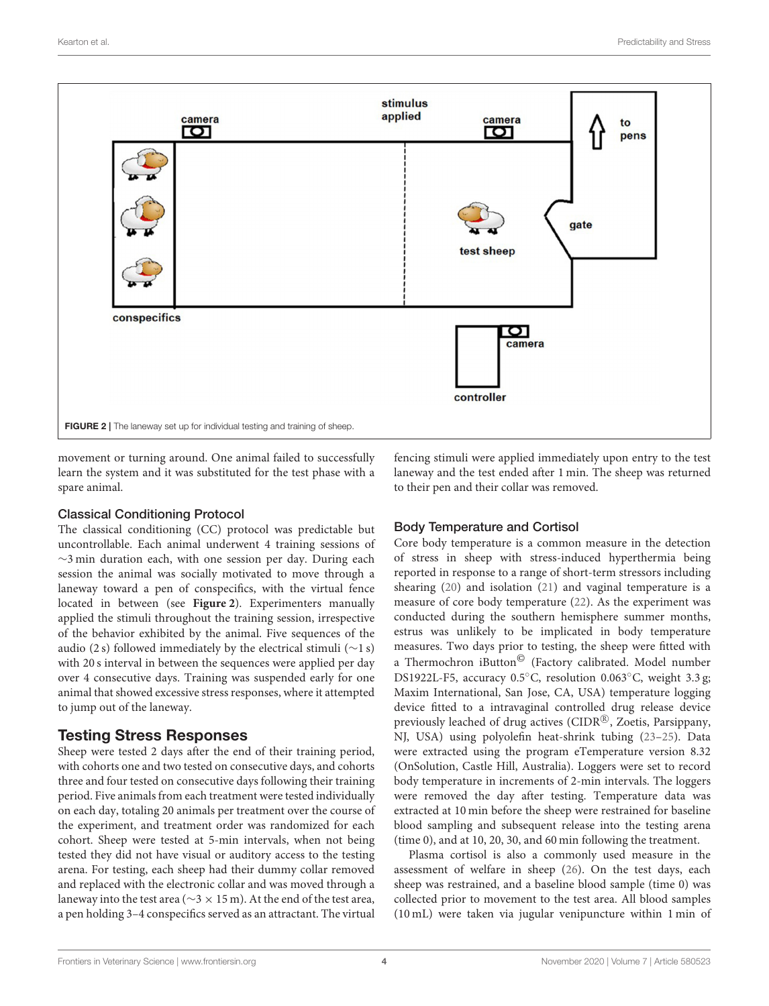

<span id="page-3-0"></span>movement or turning around. One animal failed to successfully learn the system and it was substituted for the test phase with a spare animal.

#### Classical Conditioning Protocol

The classical conditioning (CC) protocol was predictable but uncontrollable. Each animal underwent 4 training sessions of ∼3 min duration each, with one session per day. During each session the animal was socially motivated to move through a laneway toward a pen of conspecifics, with the virtual fence located in between (see **[Figure 2](#page-3-0)**). Experimenters manually applied the stimuli throughout the training session, irrespective of the behavior exhibited by the animal. Five sequences of the audio (2 s) followed immediately by the electrical stimuli (∼1 s) with 20 s interval in between the sequences were applied per day over 4 consecutive days. Training was suspended early for one animal that showed excessive stress responses, where it attempted to jump out of the laneway.

## Testing Stress Responses

Sheep were tested 2 days after the end of their training period, with cohorts one and two tested on consecutive days, and cohorts three and four tested on consecutive days following their training period. Five animals from each treatment were tested individually on each day, totaling 20 animals per treatment over the course of the experiment, and treatment order was randomized for each cohort. Sheep were tested at 5-min intervals, when not being tested they did not have visual or auditory access to the testing arena. For testing, each sheep had their dummy collar removed and replaced with the electronic collar and was moved through a laneway into the test area (∼3 × 15 m). At the end of the test area, a pen holding 3–4 conspecifics served as an attractant. The virtual

fencing stimuli were applied immediately upon entry to the test laneway and the test ended after 1 min. The sheep was returned to their pen and their collar was removed.

## Body Temperature and Cortisol

Core body temperature is a common measure in the detection of stress in sheep with stress-induced hyperthermia being reported in response to a range of short-term stressors including shearing [\(20\)](#page-9-18) and isolation [\(21\)](#page-9-19) and vaginal temperature is a measure of core body temperature [\(22\)](#page-9-20). As the experiment was conducted during the southern hemisphere summer months, estrus was unlikely to be implicated in body temperature measures. Two days prior to testing, the sheep were fitted with a Thermochron iButton© (Factory calibrated. Model number DS1922L-F5, accuracy 0.5◦C, resolution 0.063◦C, weight 3.3 g; Maxim International, San Jose, CA, USA) temperature logging device fitted to a intravaginal controlled drug release device previously leached of drug actives (CIDR®, Zoetis, Parsippany, NJ, USA) using polyolefin heat-shrink tubing [\(23–](#page-9-21)[25\)](#page-9-22). Data were extracted using the program eTemperature version 8.32 (OnSolution, Castle Hill, Australia). Loggers were set to record body temperature in increments of 2-min intervals. The loggers were removed the day after testing. Temperature data was extracted at 10 min before the sheep were restrained for baseline blood sampling and subsequent release into the testing arena (time 0), and at 10, 20, 30, and 60 min following the treatment.

Plasma cortisol is also a commonly used measure in the assessment of welfare in sheep [\(26\)](#page-9-23). On the test days, each sheep was restrained, and a baseline blood sample (time 0) was collected prior to movement to the test area. All blood samples (10 mL) were taken via jugular venipuncture within 1 min of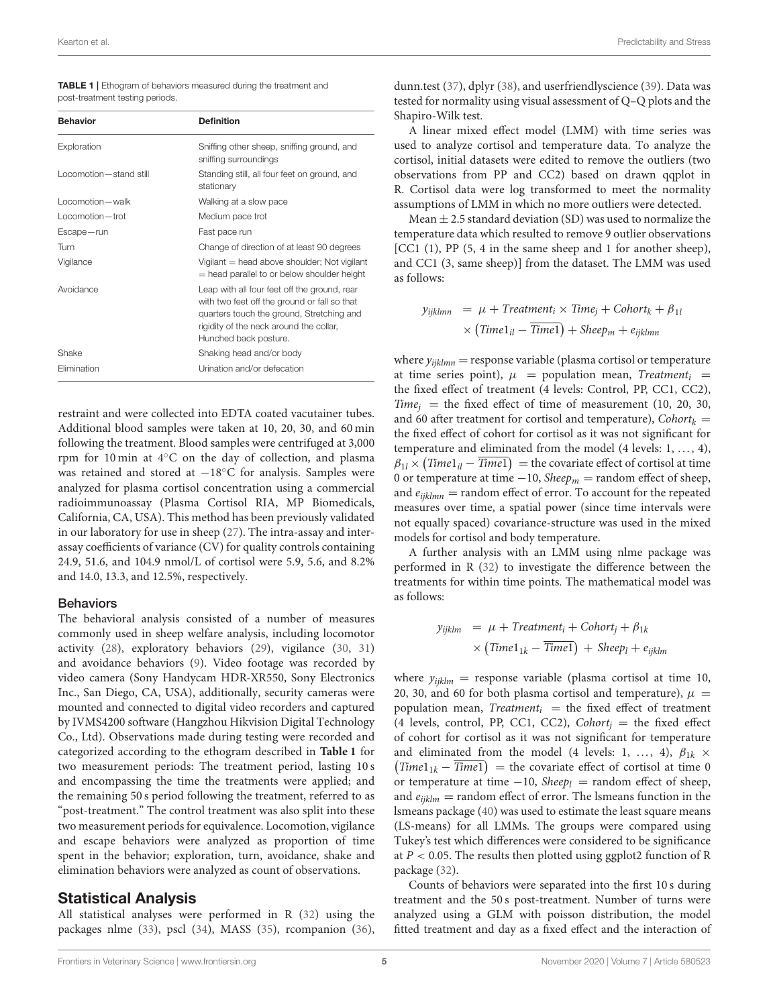<span id="page-4-0"></span>

| <b>TABLE 1</b>   Ethogram of behaviors measured during the treatment and |  |
|--------------------------------------------------------------------------|--|
| post-treatment testing periods.                                          |  |

| <b>Behavior</b>          | <b>Definition</b>                                                                                                                                                                                             |
|--------------------------|---------------------------------------------------------------------------------------------------------------------------------------------------------------------------------------------------------------|
| Exploration              | Sniffing other sheep, sniffing ground, and<br>sniffing surroundings                                                                                                                                           |
| Locomotion - stand still | Standing still, all four feet on ground, and<br>stationary                                                                                                                                                    |
| Locomotion - walk        | Walking at a slow pace                                                                                                                                                                                        |
| Locomotion-trot          | Medium pace trot                                                                                                                                                                                              |
| Escape-run               | Fast pace run                                                                                                                                                                                                 |
| Turn                     | Change of direction of at least 90 degrees                                                                                                                                                                    |
| Vigilance                | Vigilant = head above shoulder; Not vigilant<br>= head parallel to or below shoulder height                                                                                                                   |
| Avoidance                | Leap with all four feet off the ground, rear<br>with two feet off the ground or fall so that<br>quarters touch the ground, Stretching and<br>rigidity of the neck around the collar,<br>Hunched back posture. |
| Shake                    | Shaking head and/or body                                                                                                                                                                                      |
| Elimination              | Urination and/or defecation                                                                                                                                                                                   |

restraint and were collected into EDTA coated vacutainer tubes. Additional blood samples were taken at 10, 20, 30, and 60 min following the treatment. Blood samples were centrifuged at 3,000 rpm for 10 min at 4◦C on the day of collection, and plasma was retained and stored at −18<sup>°</sup>C for analysis. Samples were analyzed for plasma cortisol concentration using a commercial radioimmunoassay (Plasma Cortisol RIA, MP Biomedicals, California, CA, USA). This method has been previously validated in our laboratory for use in sheep [\(27\)](#page-9-24). The intra-assay and interassay coefficients of variance (CV) for quality controls containing 24.9, 51.6, and 104.9 nmol/L of cortisol were 5.9, 5.6, and 8.2% and 14.0, 13.3, and 12.5%, respectively.

#### **Behaviors**

The behavioral analysis consisted of a number of measures commonly used in sheep welfare analysis, including locomotor activity [\(28\)](#page-10-0), exploratory behaviors [\(29\)](#page-10-1), vigilance [\(30,](#page-10-2) [31\)](#page-10-3) and avoidance behaviors [\(9\)](#page-9-8). Video footage was recorded by video camera (Sony Handycam HDR-XR550, Sony Electronics Inc., San Diego, CA, USA), additionally, security cameras were mounted and connected to digital video recorders and captured by IVMS4200 software (Hangzhou Hikvision Digital Technology Co., Ltd). Observations made during testing were recorded and categorized according to the ethogram described in **[Table 1](#page-4-0)** for two measurement periods: The treatment period, lasting 10 s and encompassing the time the treatments were applied; and the remaining 50 s period following the treatment, referred to as "post-treatment." The control treatment was also split into these two measurement periods for equivalence. Locomotion, vigilance and escape behaviors were analyzed as proportion of time spent in the behavior; exploration, turn, avoidance, shake and elimination behaviors were analyzed as count of observations.

#### Statistical Analysis

All statistical analyses were performed in R [\(32\)](#page-10-4) using the packages nlme [\(33\)](#page-10-5), pscl [\(34\)](#page-10-6), MASS [\(35\)](#page-10-7), rcompanion [\(36\)](#page-10-8), dunn.test [\(37\)](#page-10-9), dplyr [\(38\)](#page-10-10), and userfriendlyscience [\(39\)](#page-10-11). Data was tested for normality using visual assessment of Q–Q plots and the Shapiro-Wilk test.

A linear mixed effect model (LMM) with time series was used to analyze cortisol and temperature data. To analyze the cortisol, initial datasets were edited to remove the outliers (two observations from PP and CC2) based on drawn qqplot in R. Cortisol data were log transformed to meet the normality assumptions of LMM in which no more outliers were detected.

Mean  $\pm$  2.5 standard deviation (SD) was used to normalize the temperature data which resulted to remove 9 outlier observations [CC1 (1), PP (5, 4 in the same sheep and 1 for another sheep), and CC1 (3, same sheep)] from the dataset. The LMM was used as follows:

$$
y_{ijklmn} = \mu + Treatment_i \times Time_j + Cohort_k + \beta_{1l}
$$

$$
\times (Time1_{il} - Time1) + Sheep_m + e_{ijklmn}
$$

where  $y_{iiklmn}$  = response variable (plasma cortisol or temperature at time series point),  $\mu$  = population mean, Treatment<sub>i</sub> = the fixed effect of treatment (4 levels: Control, PP, CC1, CC2),  $Time<sub>i</sub>$  = the fixed effect of time of measurement (10, 20, 30, and 60 after treatment for cortisol and temperature),  $Cohort_k$  = the fixed effect of cohort for cortisol as it was not significant for temperature and eliminated from the model  $(4 \text{ levels: } 1, \ldots, 4)$ ,  $\beta_{1l} \times (Time1_{il} - Time1)$  = the covariate effect of cortisol at time 0 or temperature at time  $-10$ , *Sheep<sub>m</sub>* = random effect of sheep, and  $e_{ijklmn}$  = random effect of error. To account for the repeated measures over time, a spatial power (since time intervals were not equally spaced) covariance-structure was used in the mixed models for cortisol and body temperature.

A further analysis with an LMM using nlme package was performed in R [\(32\)](#page-10-4) to investigate the difference between the treatments for within time points. The mathematical model was as follows:

$$
y_{ijklm} = \mu + Treatment_i + Cohort_j + \beta_{1k}
$$

$$
\times (Time1_{1k} - Time1) + Sheep_l + e_{ijklm}
$$

where  $y_{ijklm}$  = response variable (plasma cortisol at time 10, 20, 30, and 60 for both plasma cortisol and temperature),  $\mu =$ population mean, Treatment<sub>i</sub> = the fixed effect of treatment (4 levels, control, PP, CC1, CC2), Cohort<sub>j</sub> = the fixed effect of cohort for cortisol as it was not significant for temperature and eliminated from the model (4 levels: 1, ..., 4),  $\beta_{1k} \times$  $Time1<sub>1k</sub> - Time1$  = the covariate effect of cortisol at time 0 or temperature at time  $-10$ , Sheep<sub>l</sub> = random effect of sheep, and  $e_{iiklm}$  = random effect of error. The lsmeans function in the lsmeans package [\(40\)](#page-10-12) was used to estimate the least square means (LS-means) for all LMMs. The groups were compared using Tukey's test which differences were considered to be significance at  $P < 0.05$ . The results then plotted using ggplot2 function of R package [\(32\)](#page-10-4).

Counts of behaviors were separated into the first 10 s during treatment and the 50 s post-treatment. Number of turns were analyzed using a GLM with poisson distribution, the model fitted treatment and day as a fixed effect and the interaction of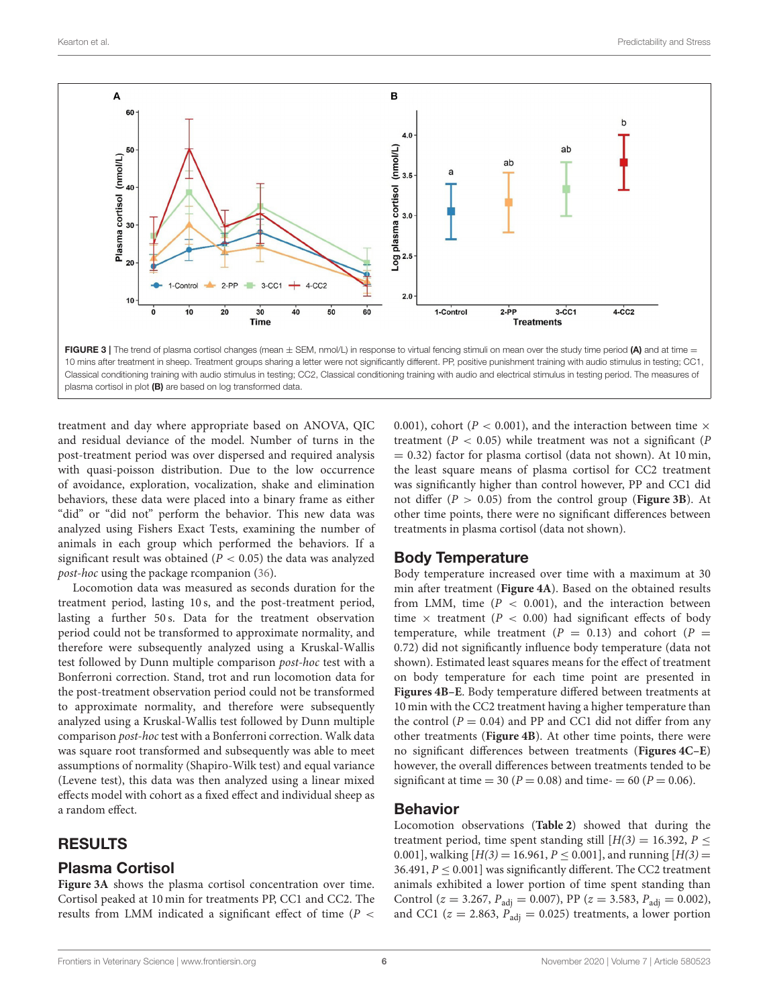

<span id="page-5-0"></span>plasma cortisol in plot (B) are based on log transformed data.

treatment and day where appropriate based on ANOVA, QIC and residual deviance of the model. Number of turns in the post-treatment period was over dispersed and required analysis with quasi-poisson distribution. Due to the low occurrence of avoidance, exploration, vocalization, shake and elimination behaviors, these data were placed into a binary frame as either "did" or "did not" perform the behavior. This new data was analyzed using Fishers Exact Tests, examining the number of animals in each group which performed the behaviors. If a significant result was obtained ( $P < 0.05$ ) the data was analyzed post-hoc using the package rcompanion [\(36\)](#page-10-8).

Locomotion data was measured as seconds duration for the treatment period, lasting 10 s, and the post-treatment period, lasting a further 50 s. Data for the treatment observation period could not be transformed to approximate normality, and therefore were subsequently analyzed using a Kruskal-Wallis test followed by Dunn multiple comparison post-hoc test with a Bonferroni correction. Stand, trot and run locomotion data for the post-treatment observation period could not be transformed to approximate normality, and therefore were subsequently analyzed using a Kruskal-Wallis test followed by Dunn multiple comparison post-hoc test with a Bonferroni correction. Walk data was square root transformed and subsequently was able to meet assumptions of normality (Shapiro-Wilk test) and equal variance (Levene test), this data was then analyzed using a linear mixed effects model with cohort as a fixed effect and individual sheep as a random effect.

## RESULTS

## Plasma Cortisol

**[Figure 3A](#page-5-0)** shows the plasma cortisol concentration over time. Cortisol peaked at 10 min for treatments PP, CC1 and CC2. The results from LMM indicated a significant effect of time ( $P <$ 

0.001), cohort ( $P < 0.001$ ), and the interaction between time  $\times$ treatment ( $P < 0.05$ ) while treatment was not a significant ( $P$  $= 0.32$ ) factor for plasma cortisol (data not shown). At 10 min, the least square means of plasma cortisol for CC2 treatment was significantly higher than control however, PP and CC1 did not differ  $(P > 0.05)$  from the control group (**[Figure 3B](#page-5-0)**). At other time points, there were no significant differences between treatments in plasma cortisol (data not shown).

#### Body Temperature

Body temperature increased over time with a maximum at 30 min after treatment (**[Figure 4A](#page-6-0)**). Based on the obtained results from LMM, time  $(P < 0.001)$ , and the interaction between time  $\times$  treatment ( $P < 0.00$ ) had significant effects of body temperature, while treatment ( $P = 0.13$ ) and cohort ( $P =$ 0.72) did not significantly influence body temperature (data not shown). Estimated least squares means for the effect of treatment on body temperature for each time point are presented in **[Figures 4B–E](#page-6-0)**. Body temperature differed between treatments at 10 min with the CC2 treatment having a higher temperature than the control ( $P = 0.04$ ) and PP and CC1 did not differ from any other treatments (**[Figure 4B](#page-6-0)**). At other time points, there were no significant differences between treatments (**[Figures 4C–E](#page-6-0)**) however, the overall differences between treatments tended to be significant at time = 30 ( $P = 0.08$ ) and time- = 60 ( $P = 0.06$ ).

#### Behavior

Locomotion observations (**[Table 2](#page-7-0)**) showed that during the treatment period, time spent standing still  $[H(3) = 16.392, P \le$ 0.001], walking  $[H(3) = 16.961, P \le 0.001]$ , and running  $[H(3) =$ 36.491,  $P \le 0.001$ ] was significantly different. The CC2 treatment animals exhibited a lower portion of time spent standing than Control ( $z = 3.267$ ,  $P_{\text{adj}} = 0.007$ ), PP ( $z = 3.583$ ,  $P_{\text{adj}} = 0.002$ ), and CC1 ( $z = 2.863$ ,  $P_{\text{adj}} = 0.025$ ) treatments, a lower portion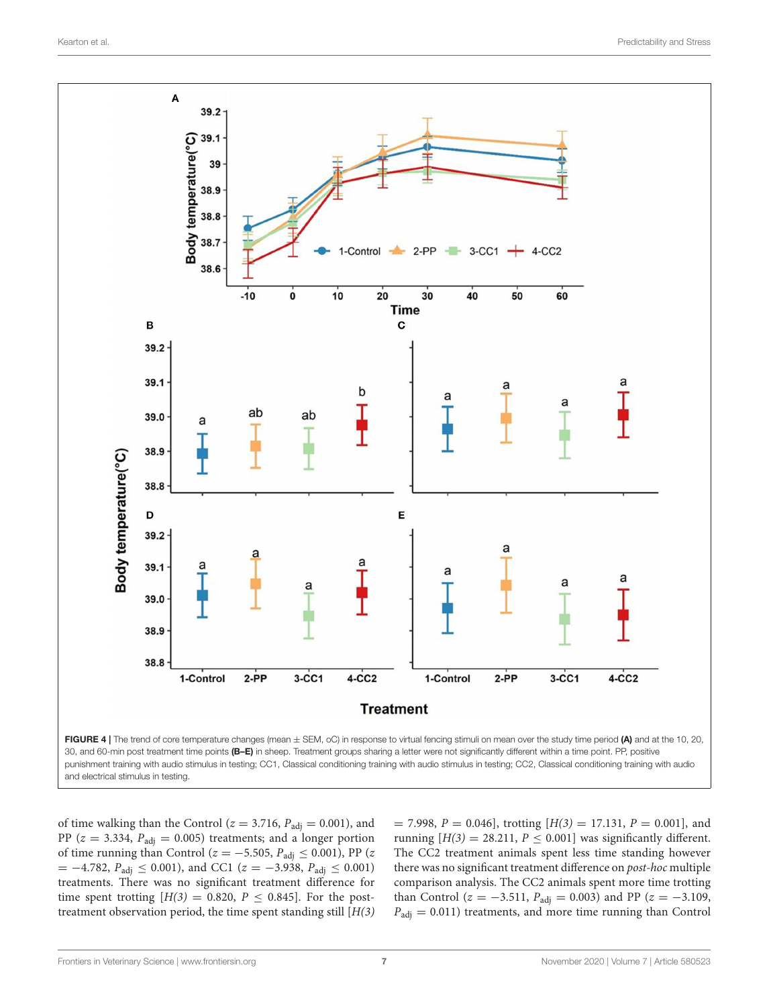

<span id="page-6-0"></span>and electrical stimulus in testing.

of time walking than the Control ( $z = 3.716$ ,  $P_{\text{adj}} = 0.001$ ), and PP ( $z = 3.334$ ,  $P_{\text{adj}} = 0.005$ ) treatments; and a longer portion of time running than Control ( $z = -5.505$ ,  $P_{\text{adj}} \le 0.001$ ), PP ( $z$  $= -4.782$ ,  $P_{\text{adj}} \le 0.001$ ), and CC1 ( $z = -3.938$ ,  $P_{\text{adj}} \le 0.001$ ) treatments. There was no significant treatment difference for time spent trotting  $[H(3) = 0.820, P \le 0.845]$ . For the posttreatment observation period, the time spent standing still  $[H(3)]$ 

 $= 7.998, P = 0.046$ , trotting  $[H(3) = 17.131, P = 0.001]$ , and running  $[H(3) = 28.211, P \le 0.001]$  was significantly different. The CC2 treatment animals spent less time standing however there was no significant treatment difference on post-hoc multiple comparison analysis. The CC2 animals spent more time trotting than Control ( $z = -3.511$ ,  $P_{\text{adj}} = 0.003$ ) and PP ( $z = -3.109$ ,  $P_{\text{adj}} = 0.011$ ) treatments, and more time running than Control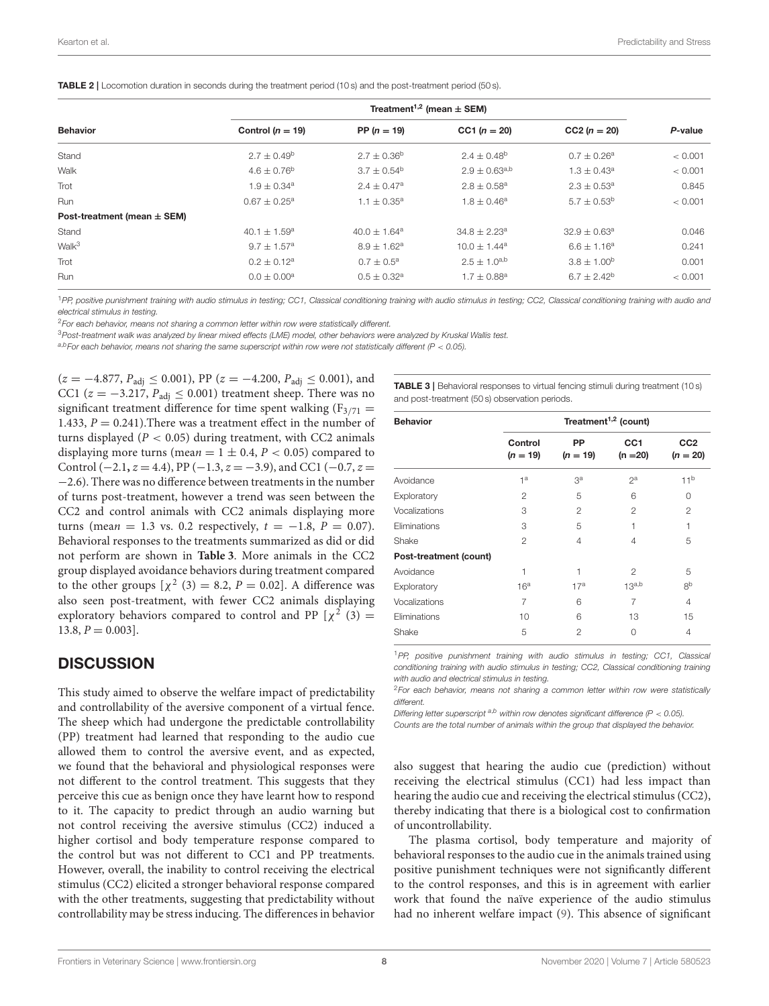<span id="page-7-0"></span>

| <b>TABLE 2</b>   Locomotion duration in seconds during the treatment period (10 s) and the post-treatment period (50 s). |  |
|--------------------------------------------------------------------------------------------------------------------------|--|
|--------------------------------------------------------------------------------------------------------------------------|--|

|                                 | Treatment <sup>1,2</sup> (mean $\pm$ SEM) |                             |                        |                    |         |
|---------------------------------|-------------------------------------------|-----------------------------|------------------------|--------------------|---------|
| <b>Behavior</b>                 | Control ( $n = 19$ )                      | PP $(n = 19)$               | CC1 $(n = 20)$         | $CC2 (n = 20)$     | P-value |
| Stand                           | $2.7 \pm 0.49^b$                          | $2.7 \pm 0.36^b$            | $2.4 \pm 0.48^{\circ}$ | $0.7 \pm 0.26^a$   | < 0.001 |
| Walk                            | $4.6 \pm 0.76^{\circ}$                    | $3.7 \pm 0.54^{\circ}$      | $2.9 \pm 0.63^{a,b}$   | $1.3 \pm 0.43^a$   | < 0.001 |
| Trot                            | $1.9 \pm 0.34^a$                          | $2.4 \pm 0.47$ <sup>a</sup> | $2.8 \pm 0.58^a$       | $2.3 \pm 0.53^a$   | 0.845   |
| Run                             | $0.67 + 0.25^a$                           | $1.1 \pm 0.35^a$            | $1.8 + 0.46^a$         | $5.7 \pm 0.53^b$   | < 0.001 |
| Post-treatment (mean $\pm$ SEM) |                                           |                             |                        |                    |         |
| Stand                           | 40.1 $\pm$ 1.59 <sup>a</sup>              | $40.0 + 1.64$ <sup>a</sup>  | $34.8 + 2.23^a$        | $32.9 + 0.63^a$    | 0.046   |
| Walk <sup>3</sup>               | $9.7 \pm 1.57^{\rm a}$                    | $8.9 \pm 1.62^a$            | $10.0 \pm 1.44^a$      | $6.6 \pm 1.16^a$   | 0.241   |
| Trot                            | $0.2 \pm 0.12^a$                          | $0.7 \pm 0.5^{\text{a}}$    | $2.5 \pm 1.0^{a,b}$    | $3.8 \pm 1.00^{6}$ | 0.001   |
| Run                             | $0.0 \pm 0.00^{\rm a}$                    | $0.5 \pm 0.32$ <sup>a</sup> | $1.7 \pm 0.88^a$       | $6.7 \pm 2.42^b$   | < 0.001 |

1PP, positive punishment training with audio stimulus in testing; CC1, Classical conditioning training with audio stimulus in testing; CC2, Classical conditioning training with audio and electrical stimulus in testing.

<sup>2</sup>For each behavior, means not sharing a common letter within row were statistically different.

3Post-treatment walk was analyzed by linear mixed effects (LME) model, other behaviors were analyzed by Kruskal Wallis test.

 $a,b$  For each behavior, means not sharing the same superscript within row were not statistically different (P < 0.05).

 $(z = -4.877, P_{\text{adj}} \le 0.001)$ , PP  $(z = -4.200, P_{\text{adj}} \le 0.001)$ , and CC1 ( $z = -3.217$ ,  $P_{\text{adj}} \le 0.001$ ) treatment sheep. There was no significant treatment difference for time spent walking  $(F_{3/71} =$ 1.433,  $P = 0.241$ ). There was a treatment effect in the number of turns displayed ( $P < 0.05$ ) during treatment, with CC2 animals displaying more turns (mean =  $1 \pm 0.4$ ,  $P < 0.05$ ) compared to Control ( $-2.1$ ,  $z = 4.4$ ), PP ( $-1.3$ ,  $z = -3.9$ ), and CC1 ( $-0.7$ ,  $z =$ −2.6). There was no difference between treatments in the number of turns post-treatment, however a trend was seen between the CC2 and control animals with CC2 animals displaying more turns (mean = 1.3 vs. 0.2 respectively,  $t = -1.8$ ,  $P = 0.07$ ). Behavioral responses to the treatments summarized as did or did not perform are shown in **[Table 3](#page-7-1)**. More animals in the CC2 group displayed avoidance behaviors during treatment compared to the other groups  $[\chi^2(3) = 8.2, P = 0.02]$ . A difference was also seen post-treatment, with fewer CC2 animals displaying exploratory behaviors compared to control and PP  $[\chi^2(3) =$  $13.8, P = 0.003$ .

#### **DISCUSSION**

This study aimed to observe the welfare impact of predictability and controllability of the aversive component of a virtual fence. The sheep which had undergone the predictable controllability (PP) treatment had learned that responding to the audio cue allowed them to control the aversive event, and as expected, we found that the behavioral and physiological responses were not different to the control treatment. This suggests that they perceive this cue as benign once they have learnt how to respond to it. The capacity to predict through an audio warning but not control receiving the aversive stimulus (CC2) induced a higher cortisol and body temperature response compared to the control but was not different to CC1 and PP treatments. However, overall, the inability to control receiving the electrical stimulus (CC2) elicited a stronger behavioral response compared with the other treatments, suggesting that predictability without controllability may be stress inducing. The differences in behavior

<span id="page-7-1"></span>TABLE 3 | Behavioral responses to virtual fencing stimuli during treatment (10 s) and post-treatment (50 s) observation periods.

| <b>Behavior</b>        | Treatment <sup>1,2</sup> (count) |                  |                               |                               |  |  |
|------------------------|----------------------------------|------------------|-------------------------------|-------------------------------|--|--|
|                        | Control<br>$(n = 19)$            | PP<br>$(n = 19)$ | CC <sub>1</sub><br>$(n = 20)$ | CC <sub>2</sub><br>$(n = 20)$ |  |  |
| Avoidance              | 1 <sup>a</sup>                   | Зa               | $2^a$                         | 11 <sup>b</sup>               |  |  |
| Exploratory            | 2                                | 5                | 6                             | 0                             |  |  |
| Vocalizations          | 3                                | $\mathfrak{p}$   | 2                             | $\mathfrak{p}$                |  |  |
| <b>Eliminations</b>    | 3                                | 5                | 1                             | 1                             |  |  |
| Shake                  | $\mathfrak{p}$                   | 4                | $\overline{4}$                | 5                             |  |  |
| Post-treatment (count) |                                  |                  |                               |                               |  |  |
| Avoidance              | 1                                | 1                | $\mathfrak{p}$                | 5                             |  |  |
| Exploratory            | 16 <sup>a</sup>                  | 17 <sup>a</sup>  | 13 <sup>a,b</sup>             | 8 <sup>b</sup>                |  |  |
| Vocalizations          | 7                                | 6                | 7                             | 4                             |  |  |
| Eliminations           | 10                               | 6                | 13                            | 15                            |  |  |
| Shake                  | 5                                | $\mathfrak{p}$   | $\Omega$                      | 4                             |  |  |

<sup>1</sup>PP, positive punishment training with audio stimulus in testing; CC1, Classical conditioning training with audio stimulus in testing; CC2, Classical conditioning training with audio and electrical stimulus in testing.

<sup>2</sup>For each behavior, means not sharing a common letter within row were statistically different.

Differing letter superscript  $a,b$  within row denotes significant difference (P < 0.05).

Counts are the total number of animals within the group that displayed the behavior.

also suggest that hearing the audio cue (prediction) without receiving the electrical stimulus (CC1) had less impact than hearing the audio cue and receiving the electrical stimulus (CC2), thereby indicating that there is a biological cost to confirmation of uncontrollability.

The plasma cortisol, body temperature and majority of behavioral responses to the audio cue in the animals trained using positive punishment techniques were not significantly different to the control responses, and this is in agreement with earlier work that found the naïve experience of the audio stimulus had no inherent welfare impact [\(9\)](#page-9-8). This absence of significant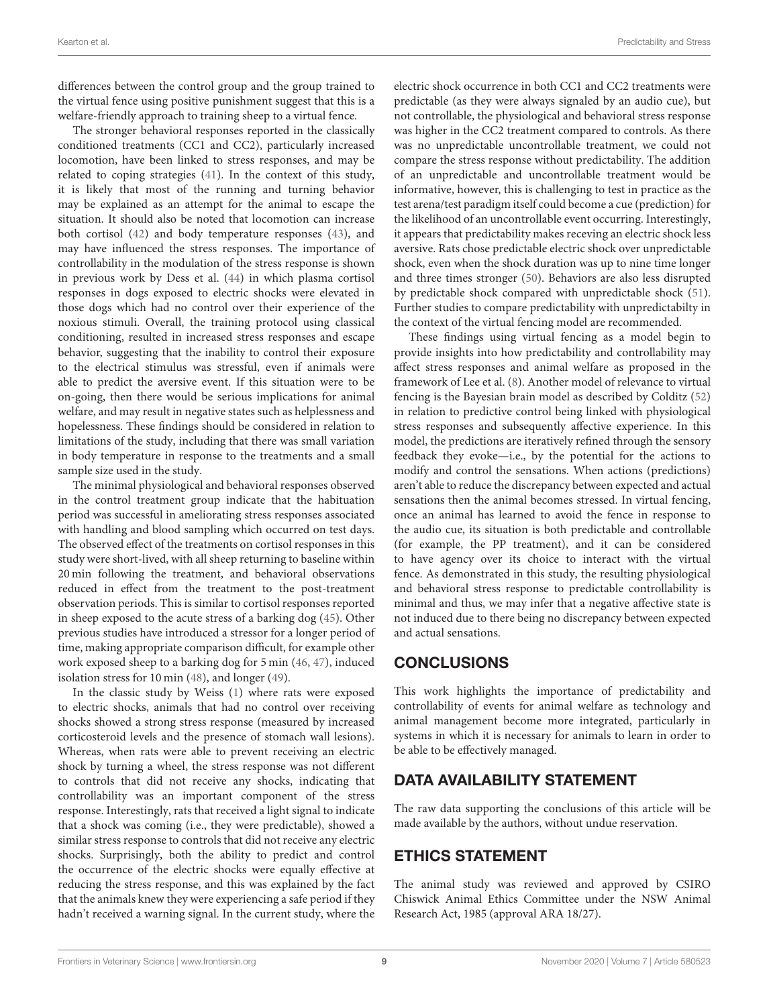differences between the control group and the group trained to the virtual fence using positive punishment suggest that this is a welfare-friendly approach to training sheep to a virtual fence.

The stronger behavioral responses reported in the classically conditioned treatments (CC1 and CC2), particularly increased locomotion, have been linked to stress responses, and may be related to coping strategies [\(41\)](#page-10-13). In the context of this study, it is likely that most of the running and turning behavior may be explained as an attempt for the animal to escape the situation. It should also be noted that locomotion can increase both cortisol [\(42\)](#page-10-14) and body temperature responses [\(43\)](#page-10-15), and may have influenced the stress responses. The importance of controllability in the modulation of the stress response is shown in previous work by Dess et al. [\(44\)](#page-10-16) in which plasma cortisol responses in dogs exposed to electric shocks were elevated in those dogs which had no control over their experience of the noxious stimuli. Overall, the training protocol using classical conditioning, resulted in increased stress responses and escape behavior, suggesting that the inability to control their exposure to the electrical stimulus was stressful, even if animals were able to predict the aversive event. If this situation were to be on-going, then there would be serious implications for animal welfare, and may result in negative states such as helplessness and hopelessness. These findings should be considered in relation to limitations of the study, including that there was small variation in body temperature in response to the treatments and a small sample size used in the study.

The minimal physiological and behavioral responses observed in the control treatment group indicate that the habituation period was successful in ameliorating stress responses associated with handling and blood sampling which occurred on test days. The observed effect of the treatments on cortisol responses in this study were short-lived, with all sheep returning to baseline within 20 min following the treatment, and behavioral observations reduced in effect from the treatment to the post-treatment observation periods. This is similar to cortisol responses reported in sheep exposed to the acute stress of a barking dog [\(45\)](#page-10-17). Other previous studies have introduced a stressor for a longer period of time, making appropriate comparison difficult, for example other work exposed sheep to a barking dog for 5 min [\(46,](#page-10-18) [47\)](#page-10-19), induced isolation stress for 10 min [\(48\)](#page-10-20), and longer [\(49\)](#page-10-21).

In the classic study by Weiss [\(1\)](#page-9-0) where rats were exposed to electric shocks, animals that had no control over receiving shocks showed a strong stress response (measured by increased corticosteroid levels and the presence of stomach wall lesions). Whereas, when rats were able to prevent receiving an electric shock by turning a wheel, the stress response was not different to controls that did not receive any shocks, indicating that controllability was an important component of the stress response. Interestingly, rats that received a light signal to indicate that a shock was coming (i.e., they were predictable), showed a similar stress response to controls that did not receive any electric shocks. Surprisingly, both the ability to predict and control the occurrence of the electric shocks were equally effective at reducing the stress response, and this was explained by the fact that the animals knew they were experiencing a safe period if they hadn't received a warning signal. In the current study, where the electric shock occurrence in both CC1 and CC2 treatments were predictable (as they were always signaled by an audio cue), but not controllable, the physiological and behavioral stress response was higher in the CC2 treatment compared to controls. As there was no unpredictable uncontrollable treatment, we could not compare the stress response without predictability. The addition of an unpredictable and uncontrollable treatment would be informative, however, this is challenging to test in practice as the test arena/test paradigm itself could become a cue (prediction) for the likelihood of an uncontrollable event occurring. Interestingly, it appears that predictability makes receving an electric shock less aversive. Rats chose predictable electric shock over unpredictable shock, even when the shock duration was up to nine time longer and three times stronger [\(50\)](#page-10-22). Behaviors are also less disrupted by predictable shock compared with unpredictable shock [\(51\)](#page-10-23). Further studies to compare predictability with unpredictabilty in the context of the virtual fencing model are recommended.

These findings using virtual fencing as a model begin to provide insights into how predictability and controllability may affect stress responses and animal welfare as proposed in the framework of Lee et al. [\(8\)](#page-9-7). Another model of relevance to virtual fencing is the Bayesian brain model as described by Colditz [\(52\)](#page-10-24) in relation to predictive control being linked with physiological stress responses and subsequently affective experience. In this model, the predictions are iteratively refined through the sensory feedback they evoke—i.e., by the potential for the actions to modify and control the sensations. When actions (predictions) aren't able to reduce the discrepancy between expected and actual sensations then the animal becomes stressed. In virtual fencing, once an animal has learned to avoid the fence in response to the audio cue, its situation is both predictable and controllable (for example, the PP treatment), and it can be considered to have agency over its choice to interact with the virtual fence. As demonstrated in this study, the resulting physiological and behavioral stress response to predictable controllability is minimal and thus, we may infer that a negative affective state is not induced due to there being no discrepancy between expected and actual sensations.

# **CONCLUSIONS**

This work highlights the importance of predictability and controllability of events for animal welfare as technology and animal management become more integrated, particularly in systems in which it is necessary for animals to learn in order to be able to be effectively managed.

# DATA AVAILABILITY STATEMENT

The raw data supporting the conclusions of this article will be made available by the authors, without undue reservation.

# ETHICS STATEMENT

The animal study was reviewed and approved by CSIRO Chiswick Animal Ethics Committee under the NSW Animal Research Act, 1985 (approval ARA 18/27).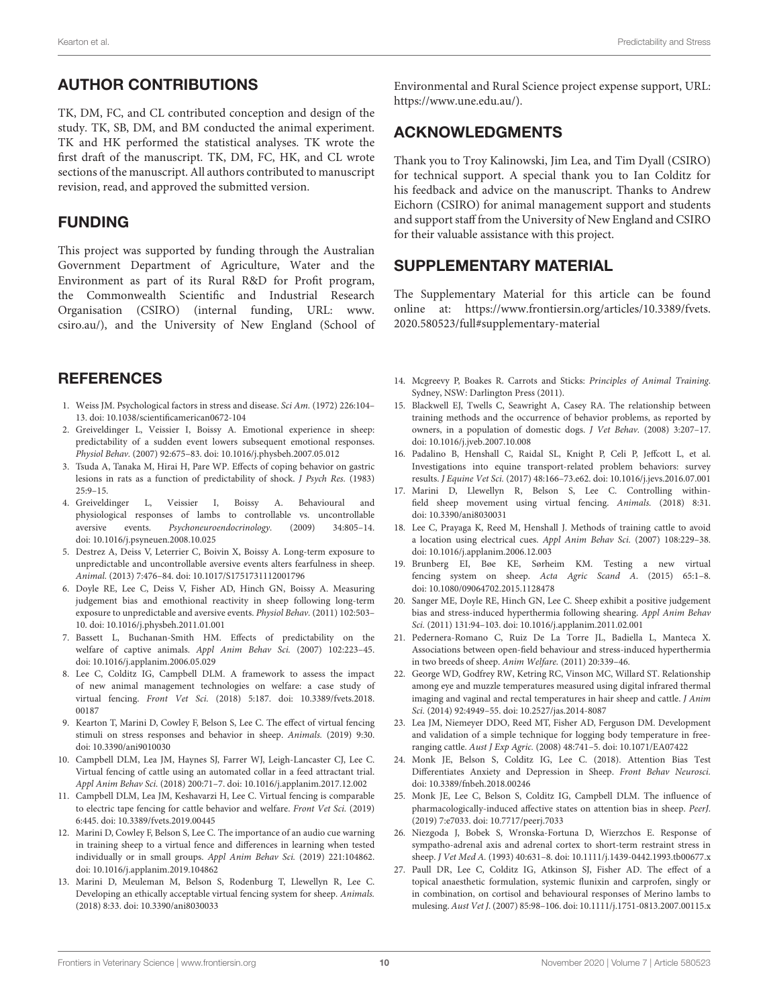## AUTHOR CONTRIBUTIONS

TK, DM, FC, and CL contributed conception and design of the study. TK, SB, DM, and BM conducted the animal experiment. TK and HK performed the statistical analyses. TK wrote the first draft of the manuscript. TK, DM, FC, HK, and CL wrote sections of the manuscript. All authors contributed to manuscript revision, read, and approved the submitted version.

#### FUNDING

This project was supported by funding through the Australian Government Department of Agriculture, Water and the Environment as part of its Rural R&D for Profit program, the Commonwealth Scientific and Industrial Research Organisation (CSIRO) (internal funding, URL: [www.](www.csiro.au/) [csiro.au/\)](www.csiro.au/), and the University of New England (School of

## **REFERENCES**

- <span id="page-9-0"></span>1. Weiss JM. Psychological factors in stress and disease. Sci Am. (1972) 226:104– 13. doi: [10.1038/scientificamerican0672-104](https://doi.org/10.1038/scientificamerican0672-104)
- <span id="page-9-1"></span>2. Greiveldinger L, Veissier I, Boissy A. Emotional experience in sheep: predictability of a sudden event lowers subsequent emotional responses. Physiol Behav. (2007) 92:675–83. doi: [10.1016/j.physbeh.2007.05.012](https://doi.org/10.1016/j.physbeh.2007.05.012)
- <span id="page-9-2"></span>3. Tsuda A, Tanaka M, Hirai H, Pare WP. Effects of coping behavior on gastric lesions in rats as a function of predictability of shock. J Psych Res. (1983)  $25.9 - 15$
- <span id="page-9-3"></span>4. Greiveldinger L, Veissier I, Boissy A. Behavioural and physiological responses of lambs to controllable vs. uncontrollable aversive events. Psychoneuroendocrinology. (2009) 34:805–14. doi: [10.1016/j.psyneuen.2008.10.025](https://doi.org/10.1016/j.psyneuen.2008.10.025)
- <span id="page-9-4"></span>5. Destrez A, Deiss V, Leterrier C, Boivin X, Boissy A. Long-term exposure to unpredictable and uncontrollable aversive events alters fearfulness in sheep. Animal. (2013) 7:476–84. doi: [10.1017/S1751731112001796](https://doi.org/10.1017/S1751731112001796)
- <span id="page-9-5"></span>6. Doyle RE, Lee C, Deiss V, Fisher AD, Hinch GN, Boissy A. Measuring judgement bias and emothional reactivity in sheep following long-term exposure to unpredictable and aversive events. Physiol Behav. (2011) 102:503– 10. doi: [10.1016/j.physbeh.2011.01.001](https://doi.org/10.1016/j.physbeh.2011.01.001)
- <span id="page-9-6"></span>7. Bassett L, Buchanan-Smith HM. Effects of predictability on the welfare of captive animals. Appl Anim Behav Sci. (2007) 102:223–45. doi: [10.1016/j.applanim.2006.05.029](https://doi.org/10.1016/j.applanim.2006.05.029)
- <span id="page-9-7"></span>8. Lee C, Colditz IG, Campbell DLM. A framework to assess the impact of new animal management technologies on welfare: a case study of virtual fencing. Front Vet Sci. [\(2018\) 5:187. doi: 10.3389/fvets.2018.](https://doi.org/10.3389/fvets.2018.00187) 00187
- <span id="page-9-8"></span>9. Kearton T, Marini D, Cowley F, Belson S, Lee C. The effect of virtual fencing stimuli on stress responses and behavior in sheep. Animals. (2019) 9:30. doi: [10.3390/ani9010030](https://doi.org/10.3390/ani9010030)
- <span id="page-9-9"></span>10. Campbell DLM, Lea JM, Haynes SJ, Farrer WJ, Leigh-Lancaster CJ, Lee C. Virtual fencing of cattle using an automated collar in a feed attractant trial. Appl Anim Behav Sci. (2018) 200:71–7. doi: [10.1016/j.applanim.2017.12.002](https://doi.org/10.1016/j.applanim.2017.12.002)
- 11. Campbell DLM, Lea JM, Keshavarzi H, Lee C. Virtual fencing is comparable to electric tape fencing for cattle behavior and welfare. Front Vet Sci. (2019) 6:445. doi: [10.3389/fvets.2019.00445](https://doi.org/10.3389/fvets.2019.00445)
- <span id="page-9-17"></span>12. Marini D, Cowley F, Belson S, Lee C. The importance of an audio cue warning in training sheep to a virtual fence and differences in learning when tested individually or in small groups. Appl Anim Behav Sci. (2019) 221:104862. doi: [10.1016/j.applanim.2019.104862](https://doi.org/10.1016/j.applanim.2019.104862)
- <span id="page-9-10"></span>13. Marini D, Meuleman M, Belson S, Rodenburg T, Llewellyn R, Lee C. Developing an ethically acceptable virtual fencing system for sheep. Animals. (2018) 8:33. doi: [10.3390/ani8030033](https://doi.org/10.3390/ani8030033)

Environmental and Rural Science project expense support, URL: [https://www.une.edu.au/\)](https://www.une.edu.au/).

## ACKNOWLEDGMENTS

Thank you to Troy Kalinowski, Jim Lea, and Tim Dyall (CSIRO) for technical support. A special thank you to Ian Colditz for his feedback and advice on the manuscript. Thanks to Andrew Eichorn (CSIRO) for animal management support and students and support staff from the University of New England and CSIRO for their valuable assistance with this project.

## SUPPLEMENTARY MATERIAL

The Supplementary Material for this article can be found [online at: https://www.frontiersin.org/articles/10.3389/fvets.](https://www.frontiersin.org/articles/10.3389/fvets.2020.580523/full#supplementary-material) 2020.580523/full#supplementary-material

- <span id="page-9-11"></span>14. Mcgreevy P, Boakes R. Carrots and Sticks: Principles of Animal Training. Sydney, NSW: Darlington Press (2011).
- <span id="page-9-12"></span>15. Blackwell EJ, Twells C, Seawright A, Casey RA. The relationship between training methods and the occurrence of behavior problems, as reported by owners, in a population of domestic dogs. J Vet Behav. (2008) 3:207–17. doi: [10.1016/j.jveb.2007.10.008](https://doi.org/10.1016/j.jveb.2007.10.008)
- <span id="page-9-13"></span>16. Padalino B, Henshall C, Raidal SL, Knight P, Celi P, Jeffcott L, et al. Investigations into equine transport-related problem behaviors: survey results. J Equine Vet Sci. (2017) 48:166–73.e62. doi: [10.1016/j.jevs.2016.07.001](https://doi.org/10.1016/j.jevs.2016.07.001)
- <span id="page-9-14"></span>17. Marini D, Llewellyn R, Belson S, Lee C. Controlling withinfield sheep movement using virtual fencing. Animals. (2018) 8:31. doi: [10.3390/ani8030031](https://doi.org/10.3390/ani8030031)
- <span id="page-9-15"></span>18. Lee C, Prayaga K, Reed M, Henshall J. Methods of training cattle to avoid a location using electrical cues. Appl Anim Behav Sci. (2007) 108:229–38. doi: [10.1016/j.applanim.2006.12.003](https://doi.org/10.1016/j.applanim.2006.12.003)
- <span id="page-9-16"></span>19. Brunberg EI, Bøe KE, Sørheim KM. Testing a new virtual fencing system on sheep. Acta Agric Scand A. (2015) 65:1–8. doi: [10.1080/09064702.2015.1128478](https://doi.org/10.1080/09064702.2015.1128478)
- <span id="page-9-18"></span>20. Sanger ME, Doyle RE, Hinch GN, Lee C. Sheep exhibit a positive judgement bias and stress-induced hyperthermia following shearing. Appl Anim Behav Sci. (2011) 131:94–103. doi: [10.1016/j.applanim.2011.02.001](https://doi.org/10.1016/j.applanim.2011.02.001)
- <span id="page-9-19"></span>21. Pedernera-Romano C, Ruiz De La Torre JL, Badiella L, Manteca X. Associations between open-field behaviour and stress-induced hyperthermia in two breeds of sheep. Anim Welfare. (2011) 20:339–46.
- <span id="page-9-20"></span>22. George WD, Godfrey RW, Ketring RC, Vinson MC, Willard ST. Relationship among eye and muzzle temperatures measured using digital infrared thermal imaging and vaginal and rectal temperatures in hair sheep and cattle. J Anim Sci. (2014) 92:4949–55. doi: [10.2527/jas.2014-8087](https://doi.org/10.2527/jas.2014-8087)
- <span id="page-9-21"></span>23. Lea JM, Niemeyer DDO, Reed MT, Fisher AD, Ferguson DM. Development and validation of a simple technique for logging body temperature in freeranging cattle. Aust J Exp Agric. (2008) 48:741–5. doi: [10.1071/EA07422](https://doi.org/10.1071/EA07422)
- 24. Monk JE, Belson S, Colditz IG, Lee C. (2018). Attention Bias Test Differentiates Anxiety and Depression in Sheep. Front Behav Neurosci. doi: [10.3389/fnbeh.2018.00246](https://doi.org/10.3389/fnbeh.2018.00246)
- <span id="page-9-22"></span>25. Monk JE, Lee C, Belson S, Colditz IG, Campbell DLM. The influence of pharmacologically-induced affective states on attention bias in sheep. PeerJ. (2019) 7:e7033. doi: [10.7717/peerj.7033](https://doi.org/10.7717/peerj.7033)
- <span id="page-9-23"></span>26. Niezgoda J, Bobek S, Wronska-Fortuna D, Wierzchos E. Response of sympatho-adrenal axis and adrenal cortex to short-term restraint stress in sheep. J Vet Med A. (1993) 40:631–8. doi: [10.1111/j.1439-0442.1993.tb00677.x](https://doi.org/10.1111/j.1439-0442.1993.tb00677.x)
- <span id="page-9-24"></span>27. Paull DR, Lee C, Colditz IG, Atkinson SJ, Fisher AD. The effect of a topical anaesthetic formulation, systemic flunixin and carprofen, singly or in combination, on cortisol and behavioural responses of Merino lambs to mulesing. Aust Vet J. (2007) 85:98–106. doi: [10.1111/j.1751-0813.2007.00115.x](https://doi.org/10.1111/j.1751-0813.2007.00115.x)